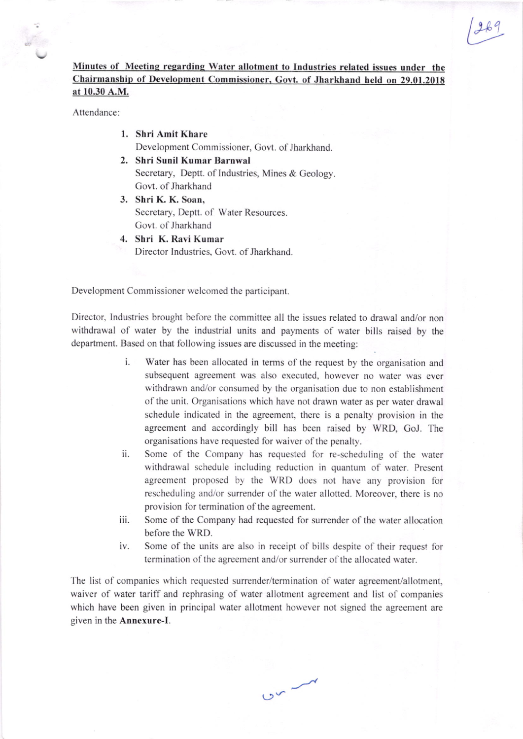## Minutes of Meeting regarding Water allotment to Industries related issues under the Chairmanship of Development Commissioner, Govt. of Jharkhand held on 29.01.2018 at 10.30 A.M.

 $269$ 

Attendance:

- 1. Shri Amit Khare Development Commissioner, Covt. of Jharkhand.
- 2. Shri Sunil Kumar Barnwal Secretary, Deptt. of Industries, Mines & Geology. Govt. of Jharkhand
- 3. Shri K. K. Soan, Secretary, Deptt. of Water Resources. Govt. of Jharkhand
- 4. Shri K. Ravi Kumar Director Industries, Govt. of Jharkhand.

Development Commissioner welcomed the participant.

Director, Industries brought before the committee all the issues related to drawal and/or non withdrawal of water by the industrial units and payments of water bills raised by the department. Based on that following issues are discussed in the meeting:

- i. Water has been allocated in terms of the request by the organisation and subsequent agreement was also executed, however no water was ever withdrawn and/or consumed by the organisation due to non establishment of the unit. Organisations which have not drawn water as per water drawal schedule indicated in the agreement, there is a penalty provision in the agreement and accordingly bill has been raised by WRD, GoJ. The organisations have requested for waiver of the penalty.
- ii. Some of the Company has requested for re-scheduling of the water withdrawal schedule including reduction in quantum of water. Present agreement proposed by the WRD does not have any provision for rescheduling and/or surrender of the water allotted. Moreover, there is no provision for termination of the agreement.
- iii. Some of the Company had requested for surrender of the water allocation before the WRD.
- iv. Some of the units are also in receipt of bills despite of their request for termination of the agreement and/or surrender of the allocated water.

 $C_{\infty}$ 

The list of companies which requested surrender/termination of water agreement/allotment, waiver of water tariff and rephrasing of water allotment agreement and list of companies which have been given in principal water allotment however not signed the agreement are given in the Annexure-I.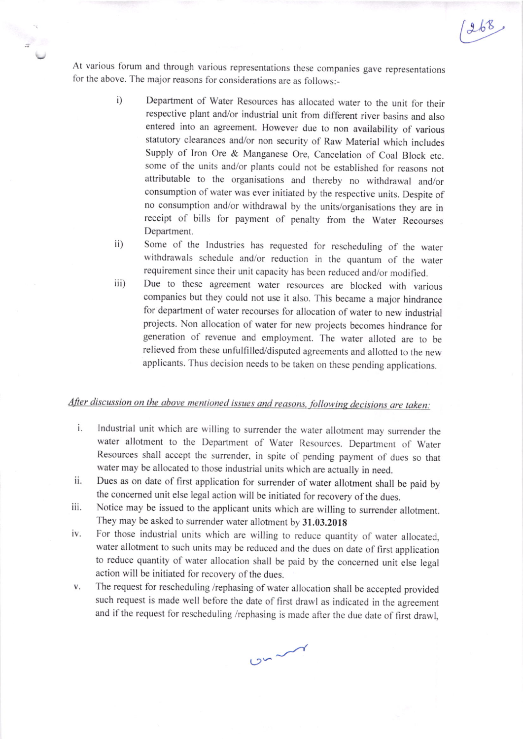At various forum and through various representations these companies gave representations for the above. The major reasons for considerations are as follows:-

> i) Department of water Resources has alocated water to the unit for their respective plant and/or industrial unit from different river basins and also entered into an agreement. However due to non availability of various statutory clearances and/or non security of Raw Material which includes Supply of lron Ore & Manganese Ore, Cancelation of Coal Block etc. some of the units and/or plants could not be established for reasons not attributable to the organisations and thereby no withdrawal and/or consumption of water was ever initiated by the respective units. Despite of no consumption and/or withdrawal by the units/organisations they are in receipt of bills for payment of penalty from the Water Recourses Department.

 $1268$ 

- ii) Some of the Industries has requested for rescheduling of the water withdrawals schedule and/or reduction in the quantum of the water requirement since their unit capacity has been reduced and/or modified.
- iii) Due to these agreement water resources are blocked with various companies but they could not use it also. This became a major hindrance for department of water recourses for allocation of water to new industrial projects. Non allocation of water for new projects becomes hindrance for generation of revenue and employment. The water alloted are to be relieved from these unfulfilled/disputed agreements and allotted to the new applicants. Thus decision needs to be taken on these pending applications.

## After discussion on the above mentioned issues and reasons, following decisions are taken:

- $i$ . Industrial unit which are willing to surrender the waler allotment may surrender the water allotment to the Department of Water Resources. Department of Water Resources shall accept the surrender, in spite of pending payment of dues so that water may be allocated to those industrial units which are actually in need.
- ii. Dues as on date of first application for surrender of water allotment shall be paid by the concerned unit else legal action will be initiated for recovery of the dues.
- iii. Notice may be issued to the applicant units which are willing to surrender allotment. They may be asked to surrender water allotment by 31.03.201g
- For those industrial units which are willing to reduce quantity of water allocated. iv. water allotment to such units may be reduced and the dues on date of first application to reduce quantity of water allocation shall be paid by the concemed unit else legal action will be initiated for recovery of the dues.
- The request for rescheduling /rephasing of water allocation shall be accepted provided V. such request is made well before the date of first drawl as indicated in the agreement and if the request for rescheduling /rephasing is made after the due date of first drawl,

 $0^{m}$